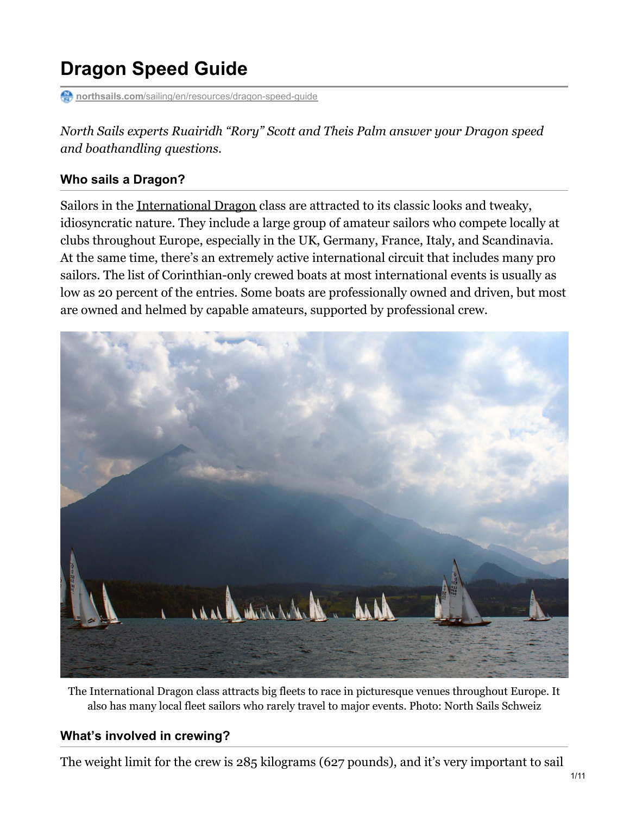# **Dragon Speed Guide**

**northsails.com**/sailing/en/resources/dragon-speed-quide

*North Sails experts Ruairidh "Rory" Scott and Theis Palm answer your Dragon speed and boathandling questions.*

#### **Who sails a Dragon?**

Sailors in the [International](http://www.intdragon.net/index.php) Dragon class are attracted to its classic looks and tweaky, idiosyncratic nature. They include a large group of amateur sailors who compete locally at clubs throughout Europe, especially in the UK, Germany, France, Italy, and Scandinavia. At the same time, there's an extremely active international circuit that includes many pro sailors. The list of Corinthian-only crewed boats at most international events is usually as low as 20 percent of the entries. Some boats are professionally owned and driven, but most are owned and helmed by capable amateurs, supported by professional crew.



The International Dragon class attracts big fleets to race in picturesque venues throughout Europe. It also has many local fleet sailors who rarely travel to major events. Photo: North Sails Schweiz

#### **What's involved in crewing?**

The weight limit for the crew is 285 kilograms (627 pounds), and it's very important to sail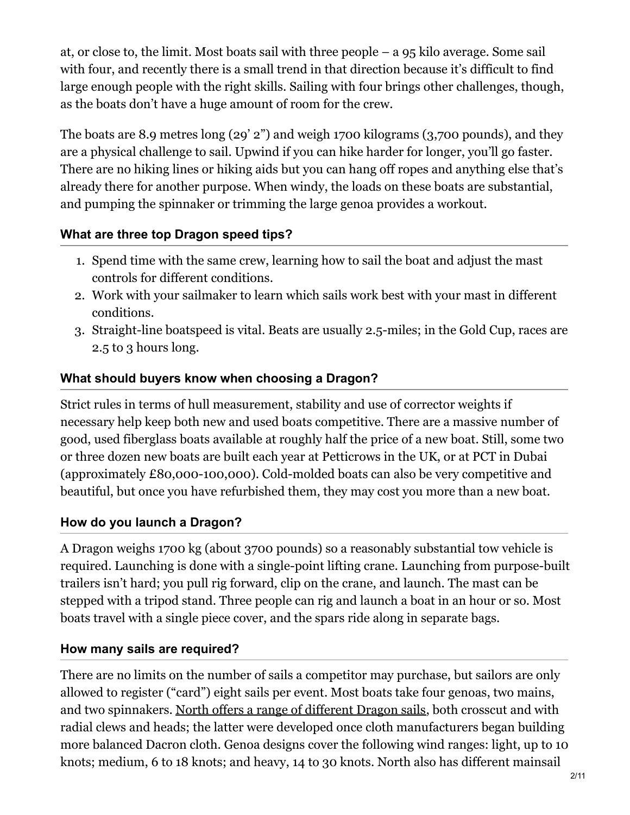at, or close to, the limit. Most boats sail with three people – a 95 kilo average. Some sail with four, and recently there is a small trend in that direction because it's difficult to find large enough people with the right skills. Sailing with four brings other challenges, though, as the boats don't have a huge amount of room for the crew.

The boats are 8.9 metres long (29' 2") and weigh 1700 kilograms (3,700 pounds), and they are a physical challenge to sail. Upwind if you can hike harder for longer, you'll go faster. There are no hiking lines or hiking aids but you can hang off ropes and anything else that's already there for another purpose. When windy, the loads on these boats are substantial, and pumping the spinnaker or trimming the large genoa provides a workout.

### **What are three top Dragon speed tips?**

- 1. Spend time with the same crew, learning how to sail the boat and adjust the mast controls for different conditions.
- 2. Work with your sailmaker to learn which sails work best with your mast in different conditions.
- 3. Straight-line boatspeed is vital. Beats are usually 2.5-miles; in the Gold Cup, races are 2.5 to 3 hours long.

### **What should buyers know when choosing a Dragon?**

Strict rules in terms of hull measurement, stability and use of corrector weights if necessary help keep both new and used boats competitive. There are a massive number of good, used fiberglass boats available at roughly half the price of a new boat. Still, some two or three dozen new boats are built each year at Petticrows in the UK, or at PCT in Dubai (approximately £80,000-100,000). Cold-molded boats can also be very competitive and beautiful, but once you have refurbished them, they may cost you more than a new boat.

### **How do you launch a Dragon?**

A Dragon weighs 1700 kg (about 3700 pounds) so a reasonably substantial tow vehicle is required. Launching is done with a single-point lifting crane. Launching from purpose-built trailers isn't hard; you pull rig forward, clip on the crane, and launch. The mast can be stepped with a tripod stand. Three people can rig and launch a boat in an hour or so. Most boats travel with a single piece cover, and the spars ride along in separate bags.

### **How many sails are required?**

There are no limits on the number of sails a competitor may purchase, but sailors are only allowed to register ("card") eight sails per event. Most boats take four genoas, two mains, and two spinnakers. North offers a range of [different](https://order.northsails.com/classes/dragon) Dragon sails, both crosscut and with radial clews and heads; the latter were developed once cloth manufacturers began building more balanced Dacron cloth. Genoa designs cover the following wind ranges: light, up to 10 knots; medium, 6 to 18 knots; and heavy, 14 to 30 knots. North also has different mainsail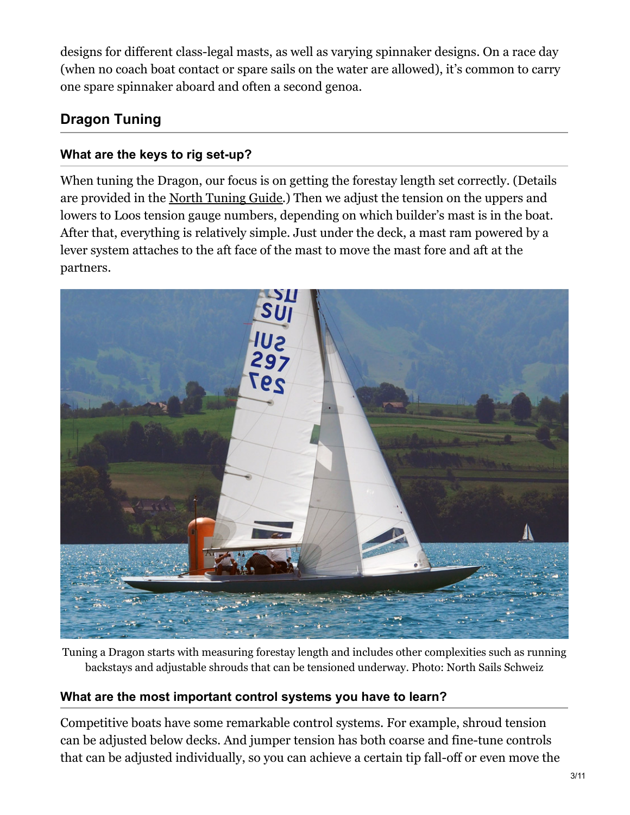designs for different class-legal masts, as well as varying spinnaker designs. On a race day (when no coach boat contact or spare sails on the water are allowed), it's common to carry one spare spinnaker aboard and often a second genoa.

# **Dragon Tuning**

### **What are the keys to rig set-up?**

When tuning the Dragon, our focus is on getting the forestay length set correctly. (Details are provided in the North [Tuning](https://northsails.com/sailing/en/resources/dragon-tuning-guide) Guide.) Then we adjust the tension on the uppers and lowers to Loos tension gauge numbers, depending on which builder's mast is in the boat. After that, everything is relatively simple. Just under the deck, a mast ram powered by a lever system attaches to the aft face of the mast to move the mast fore and aft at the partners.



Tuning a Dragon starts with measuring forestay length and includes other complexities such as running backstays and adjustable shrouds that can be tensioned underway. Photo: North Sails Schweiz

### **What are the most important control systems you have to learn?**

Competitive boats have some remarkable control systems. For example, shroud tension can be adjusted below decks. And jumper tension has both coarse and fine-tune controls that can be adjusted individually, so you can achieve a certain tip fall-off or even move the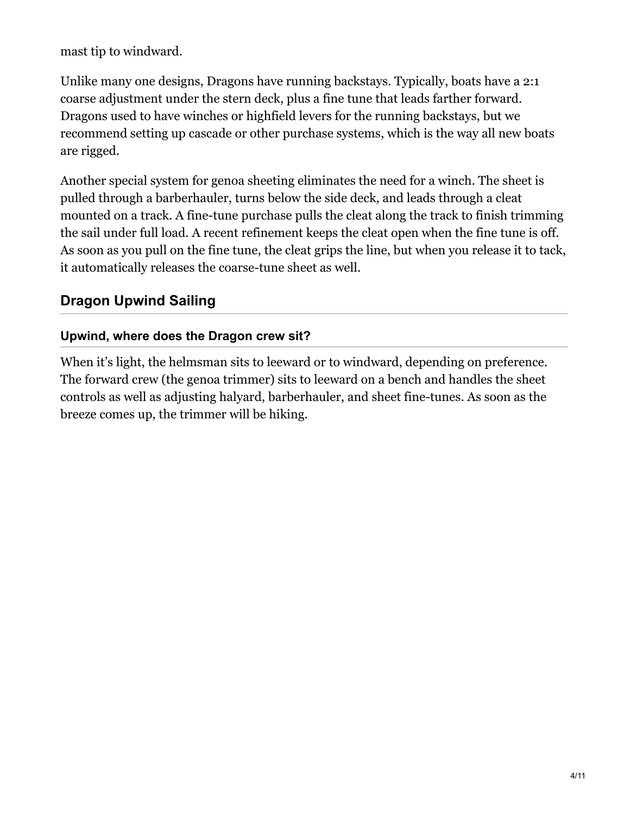mast tip to windward.

Unlike many one designs, Dragons have running backstays. Typically, boats have a 2:1 coarse adjustment under the stern deck, plus a fine tune that leads farther forward. Dragons used to have winches or highfield levers for the running backstays, but we recommend setting up cascade or other purchase systems, which is the way all new boats are rigged.

Another special system for genoa sheeting eliminates the need for a winch. The sheet is pulled through a barberhauler, turns below the side deck, and leads through a cleat mounted on a track. A fine-tune purchase pulls the cleat along the track to finish trimming the sail under full load. A recent refinement keeps the cleat open when the fine tune is off. As soon as you pull on the fine tune, the cleat grips the line, but when you release it to tack, it automatically releases the coarse-tune sheet as well.

# **Dragon Upwind Sailing**

### **Upwind, where does the Dragon crew sit?**

When it's light, the helmsman sits to leeward or to windward, depending on preference. The forward crew (the genoa trimmer) sits to leeward on a bench and handles the sheet controls as well as adjusting halyard, barberhauler, and sheet fine-tunes. As soon as the breeze comes up, the trimmer will be hiking.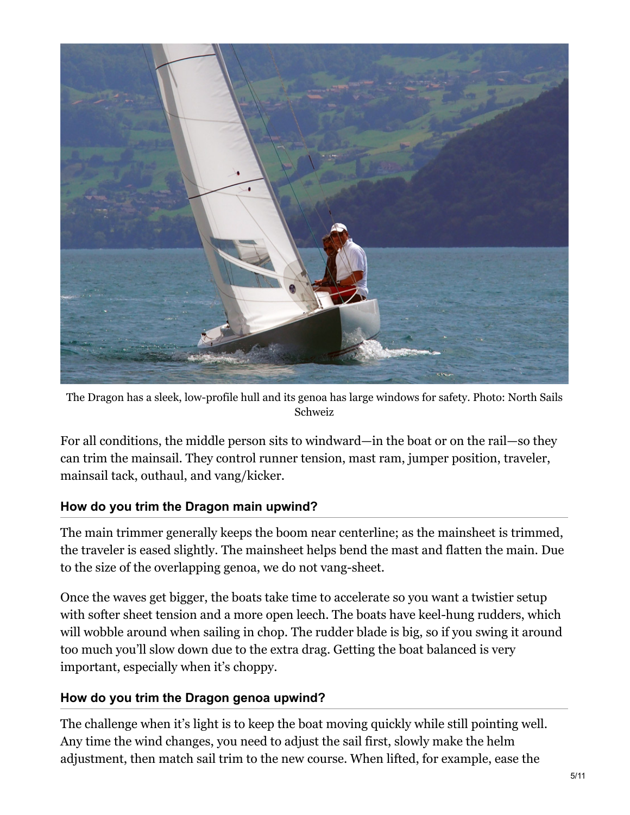

The Dragon has a sleek, low-profile hull and its genoa has large windows for safety. Photo: North Sails Schweiz

For all conditions, the middle person sits to windward—in the boat or on the rail—so they can trim the mainsail. They control runner tension, mast ram, jumper position, traveler, mainsail tack, outhaul, and vang/kicker.

#### **How do you trim the Dragon main upwind?**

The main trimmer generally keeps the boom near centerline; as the mainsheet is trimmed, the traveler is eased slightly. The mainsheet helps bend the mast and flatten the main. Due to the size of the overlapping genoa, we do not vang-sheet.

Once the waves get bigger, the boats take time to accelerate so you want a twistier setup with softer sheet tension and a more open leech. The boats have keel-hung rudders, which will wobble around when sailing in chop. The rudder blade is big, so if you swing it around too much you'll slow down due to the extra drag. Getting the boat balanced is very important, especially when it's choppy.

### **How do you trim the Dragon genoa upwind?**

The challenge when it's light is to keep the boat moving quickly while still pointing well. Any time the wind changes, you need to adjust the sail first, slowly make the helm adjustment, then match sail trim to the new course. When lifted, for example, ease the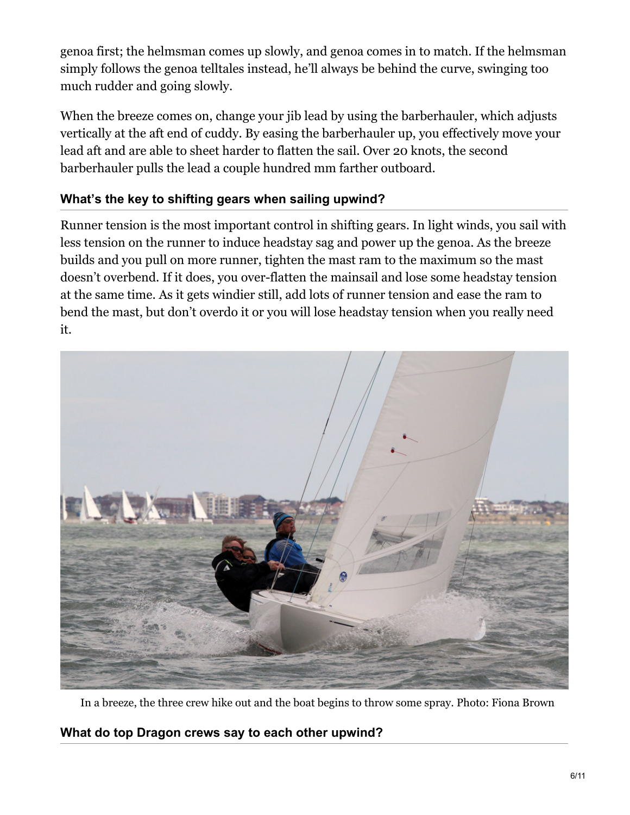genoa first; the helmsman comes up slowly, and genoa comes in to match. If the helmsman simply follows the genoa telltales instead, he'll always be behind the curve, swinging too much rudder and going slowly.

When the breeze comes on, change your jib lead by using the barberhauler, which adjusts vertically at the aft end of cuddy. By easing the barberhauler up, you effectively move your lead aft and are able to sheet harder to flatten the sail. Over 20 knots, the second barberhauler pulls the lead a couple hundred mm farther outboard.

### **What's the key to shifting gears when sailing upwind?**

Runner tension is the most important control in shifting gears. In light winds, you sail with less tension on the runner to induce headstay sag and power up the genoa. As the breeze builds and you pull on more runner, tighten the mast ram to the maximum so the mast doesn't overbend. If it does, you over-flatten the mainsail and lose some headstay tension at the same time. As it gets windier still, add lots of runner tension and ease the ram to bend the mast, but don't overdo it or you will lose headstay tension when you really need it.



In a breeze, the three crew hike out and the boat begins to throw some spray. Photo: Fiona Brown

**What do top Dragon crews say to each other upwind?**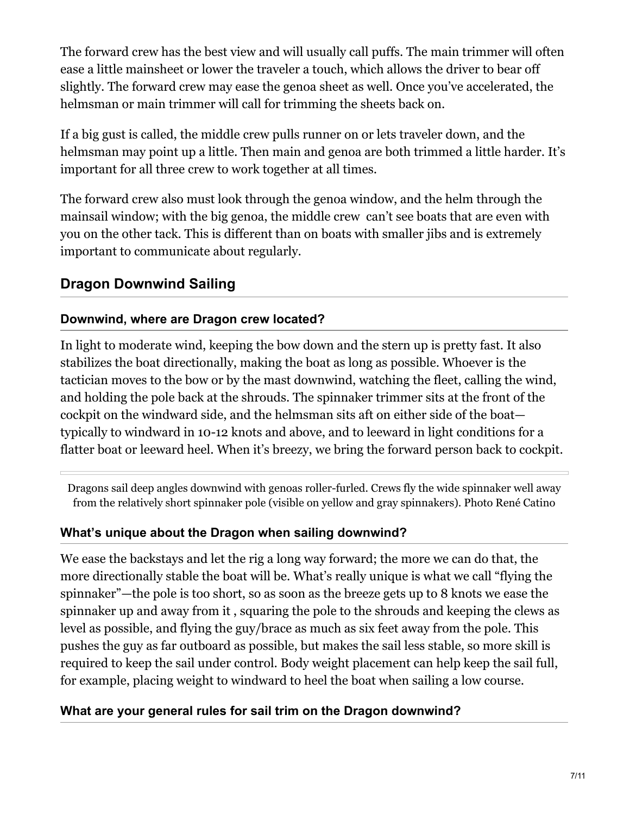The forward crew has the best view and will usually call puffs. The main trimmer will often ease a little mainsheet or lower the traveler a touch, which allows the driver to bear off slightly. The forward crew may ease the genoa sheet as well. Once you've accelerated, the helmsman or main trimmer will call for trimming the sheets back on.

If a big gust is called, the middle crew pulls runner on or lets traveler down, and the helmsman may point up a little. Then main and genoa are both trimmed a little harder. It's important for all three crew to work together at all times.

The forward crew also must look through the genoa window, and the helm through the mainsail window; with the big genoa, the middle crew can't see boats that are even with you on the other tack. This is different than on boats with smaller jibs and is extremely important to communicate about regularly.

### **Dragon Downwind Sailing**

#### **Downwind, where are Dragon crew located?**

In light to moderate wind, keeping the bow down and the stern up is pretty fast. It also stabilizes the boat directionally, making the boat as long as possible. Whoever is the tactician moves to the bow or by the mast downwind, watching the fleet, calling the wind, and holding the pole back at the shrouds. The spinnaker trimmer sits at the front of the cockpit on the windward side, and the helmsman sits aft on either side of the boat typically to windward in 10-12 knots and above, and to leeward in light conditions for a flatter boat or leeward heel. When it's breezy, we bring the forward person back to cockpit.

Dragons sail deep angles downwind with genoas roller-furled. Crews fly the wide spinnaker well away from the relatively short spinnaker pole (visible on yellow and gray spinnakers). Photo René Catino

### **What's unique about the Dragon when sailing downwind?**

We ease the backstays and let the rig a long way forward; the more we can do that, the more directionally stable the boat will be. What's really unique is what we call "flying the spinnaker"—the pole is too short, so as soon as the breeze gets up to 8 knots we ease the spinnaker up and away from it , squaring the pole to the shrouds and keeping the clews as level as possible, and flying the guy/brace as much as six feet away from the pole. This pushes the guy as far outboard as possible, but makes the sail less stable, so more skill is required to keep the sail under control. Body weight placement can help keep the sail full, for example, placing weight to windward to heel the boat when sailing a low course.

### **What are your general rules for sail trim on the Dragon downwind?**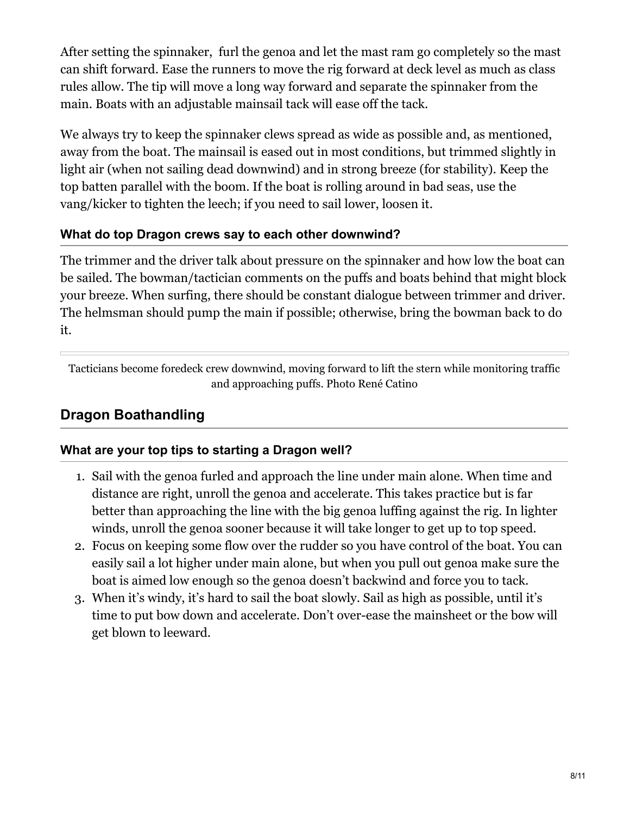After setting the spinnaker, furl the genoa and let the mast ram go completely so the mast can shift forward. Ease the runners to move the rig forward at deck level as much as class rules allow. The tip will move a long way forward and separate the spinnaker from the main. Boats with an adjustable mainsail tack will ease off the tack.

We always try to keep the spinnaker clews spread as wide as possible and, as mentioned, away from the boat. The mainsail is eased out in most conditions, but trimmed slightly in light air (when not sailing dead downwind) and in strong breeze (for stability). Keep the top batten parallel with the boom. If the boat is rolling around in bad seas, use the vang/kicker to tighten the leech; if you need to sail lower, loosen it.

### **What do top Dragon crews say to each other downwind?**

The trimmer and the driver talk about pressure on the spinnaker and how low the boat can be sailed. The bowman/tactician comments on the puffs and boats behind that might block your breeze. When surfing, there should be constant dialogue between trimmer and driver. The helmsman should pump the main if possible; otherwise, bring the bowman back to do it.

Tacticians become foredeck crew downwind, moving forward to lift the stern while monitoring traffic and approaching puffs. Photo René Catino

# **Dragon Boathandling**

### **What are your top tips to starting a Dragon well?**

- 1. Sail with the genoa furled and approach the line under main alone. When time and distance are right, unroll the genoa and accelerate. This takes practice but is far better than approaching the line with the big genoa luffing against the rig. In lighter winds, unroll the genoa sooner because it will take longer to get up to top speed.
- 2. Focus on keeping some flow over the rudder so you have control of the boat. You can easily sail a lot higher under main alone, but when you pull out genoa make sure the boat is aimed low enough so the genoa doesn't backwind and force you to tack.
- 3. When it's windy, it's hard to sail the boat slowly. Sail as high as possible, until it's time to put bow down and accelerate. Don't over-ease the mainsheet or the bow will get blown to leeward.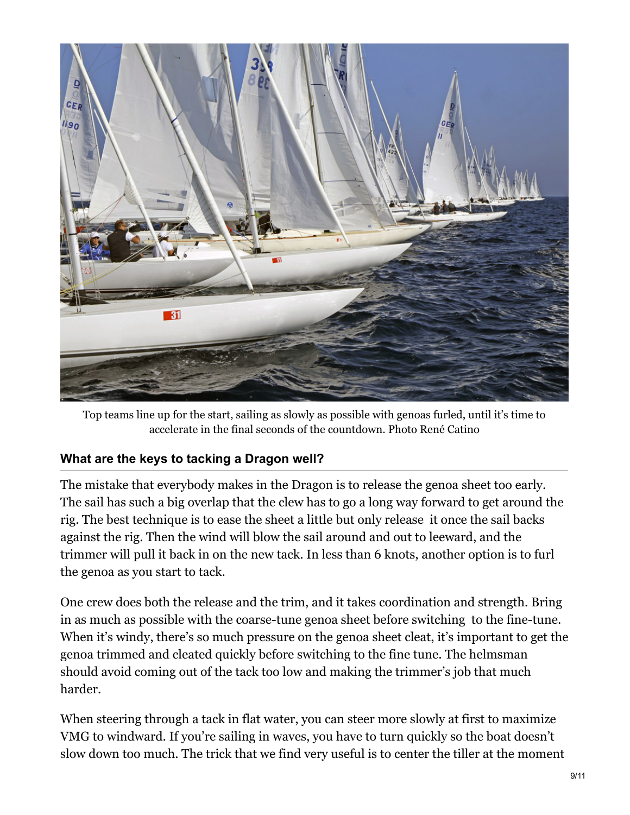

Top teams line up for the start, sailing as slowly as possible with genoas furled, until it's time to accelerate in the final seconds of the countdown. Photo René Catino

### **What are the keys to tacking a Dragon well?**

The mistake that everybody makes in the Dragon is to release the genoa sheet too early. The sail has such a big overlap that the clew has to go a long way forward to get around the rig. The best technique is to ease the sheet a little but only release it once the sail backs against the rig. Then the wind will blow the sail around and out to leeward, and the trimmer will pull it back in on the new tack. In less than 6 knots, another option is to furl the genoa as you start to tack.

One crew does both the release and the trim, and it takes coordination and strength. Bring in as much as possible with the coarse-tune genoa sheet before switching to the fine-tune. When it's windy, there's so much pressure on the genoa sheet cleat, it's important to get the genoa trimmed and cleated quickly before switching to the fine tune. The helmsman should avoid coming out of the tack too low and making the trimmer's job that much harder.

When steering through a tack in flat water, you can steer more slowly at first to maximize VMG to windward. If you're sailing in waves, you have to turn quickly so the boat doesn't slow down too much. The trick that we find very useful is to center the tiller at the moment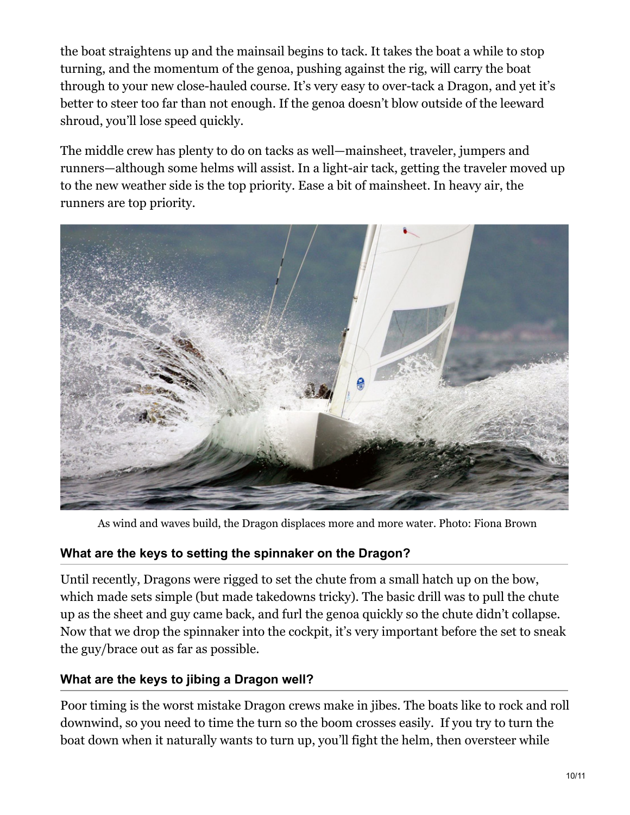the boat straightens up and the mainsail begins to tack. It takes the boat a while to stop turning, and the momentum of the genoa, pushing against the rig, will carry the boat through to your new close-hauled course. It's very easy to over-tack a Dragon, and yet it's better to steer too far than not enough. If the genoa doesn't blow outside of the leeward shroud, you'll lose speed quickly.

The middle crew has plenty to do on tacks as well—mainsheet, traveler, jumpers and runners—although some helms will assist. In a light-air tack, getting the traveler moved up to the new weather side is the top priority. Ease a bit of mainsheet. In heavy air, the runners are top priority.



As wind and waves build, the Dragon displaces more and more water. Photo: Fiona Brown

### **What are the keys to setting the spinnaker on the Dragon?**

Until recently, Dragons were rigged to set the chute from a small hatch up on the bow, which made sets simple (but made takedowns tricky). The basic drill was to pull the chute up as the sheet and guy came back, and furl the genoa quickly so the chute didn't collapse. Now that we drop the spinnaker into the cockpit, it's very important before the set to sneak the guy/brace out as far as possible.

### **What are the keys to jibing a Dragon well?**

Poor timing is the worst mistake Dragon crews make in jibes. The boats like to rock and roll downwind, so you need to time the turn so the boom crosses easily. If you try to turn the boat down when it naturally wants to turn up, you'll fight the helm, then oversteer while